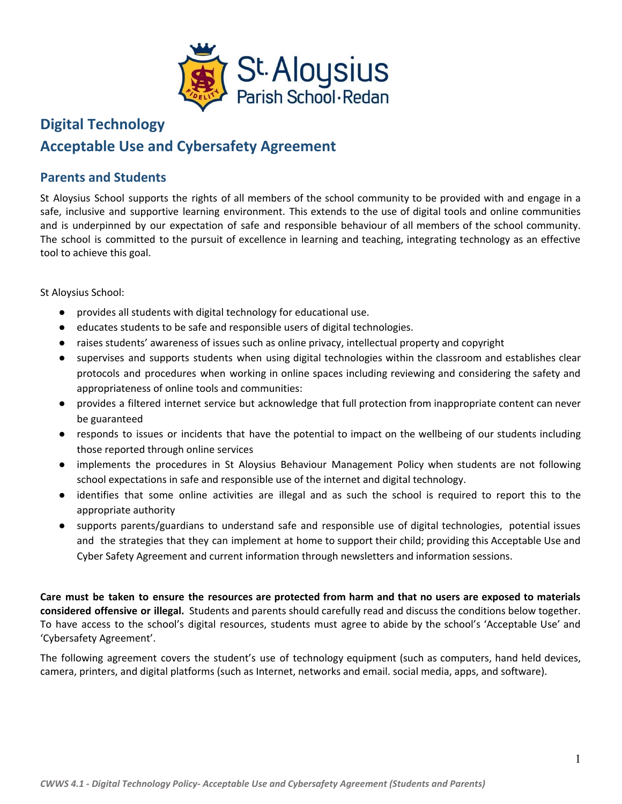

# **Digital Technology Acceptable Use and Cybersafety Agreement**

### **Parents and Students**

St Aloysius School supports the rights of all members of the school community to be provided with and engage in a safe, inclusive and supportive learning environment. This extends to the use of digital tools and online communities and is underpinned by our expectation of safe and responsible behaviour of all members of the school community. The school is committed to the pursuit of excellence in learning and teaching, integrating technology as an effective tool to achieve this goal.

St Aloysius School:

- provides all students with digital technology for educational use.
- educates students to be safe and responsible users of digital technologies.
- raises students' awareness of issues such as online privacy, intellectual property and copyright
- supervises and supports students when using digital technologies within the classroom and establishes clear protocols and procedures when working in online spaces including reviewing and considering the safety and appropriateness of online tools and communities:
- provides a filtered internet service but acknowledge that full protection from inappropriate content can never be guaranteed
- responds to issues or incidents that have the potential to impact on the wellbeing of our students including those reported through online services
- implements the procedures in St Aloysius Behaviour Management Policy when students are not following school expectations in safe and responsible use of the internet and digital technology.
- identifies that some online activities are illegal and as such the school is required to report this to the appropriate authority
- supports parents/guardians to understand safe and responsible use of digital technologies, potential issues and the strategies that they can implement at home to support their child; providing this Acceptable Use and Cyber Safety Agreement and current information through newsletters and information sessions.

Care must be taken to ensure the resources are protected from harm and that no users are exposed to materials **considered offensive or illegal.** Students and parents should carefully read and discuss the conditions below together. To have access to the school's digital resources, students must agree to abide by the school's 'Acceptable Use' and 'Cybersafety Agreement'.

The following agreement covers the student's use of technology equipment (such as computers, hand held devices, camera, printers, and digital platforms (such as Internet, networks and email. social media, apps, and software).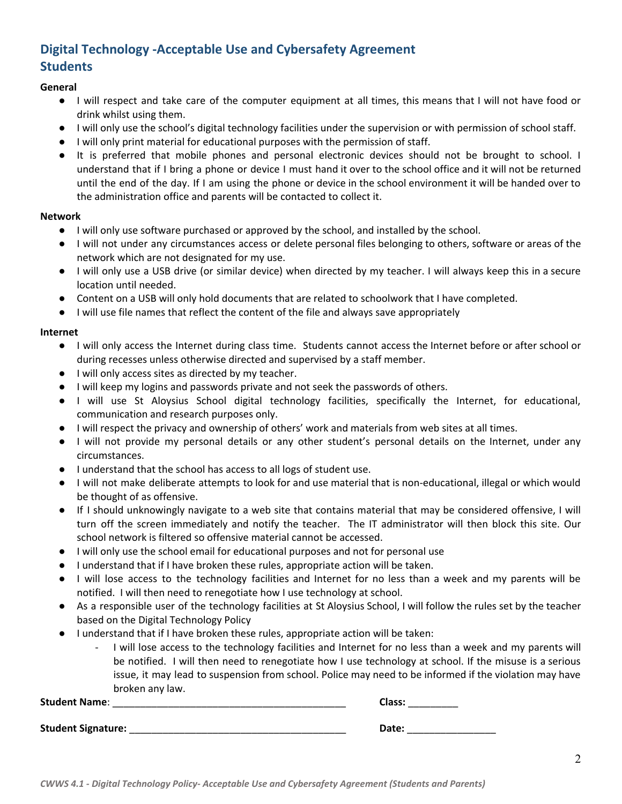## **Digital Technology -Acceptable Use and Cybersafety Agreement Students**

#### **General**

- I will respect and take care of the computer equipment at all times, this means that I will not have food or drink whilst using them.
- I will only use the school's digital technology facilities under the supervision or with permission of school staff.
- I will only print material for educational purposes with the permission of staff.
- It is preferred that mobile phones and personal electronic devices should not be brought to school. I understand that if I bring a phone or device I must hand it over to the school office and it will not be returned until the end of the day. If I am using the phone or device in the school environment it will be handed over to the administration office and parents will be contacted to collect it.

#### **Network**

- I will only use software purchased or approved by the school, and installed by the school.
- I will not under any circumstances access or delete personal files belonging to others, software or areas of the network which are not designated for my use.
- I will only use a USB drive (or similar device) when directed by my teacher. I will always keep this in a secure location until needed.
- Content on a USB will only hold documents that are related to schoolwork that I have completed.
- I will use file names that reflect the content of the file and always save appropriately

#### **Internet**

- I will only access the Internet during class time. Students cannot access the Internet before or after school or during recesses unless otherwise directed and supervised by a staff member.
- I will only access sites as directed by my teacher.
- I will keep my logins and passwords private and not seek the passwords of others.
- I will use St Aloysius School digital technology facilities, specifically the Internet, for educational, communication and research purposes only.
- I will respect the privacy and ownership of others' work and materials from web sites at all times.
- I will not provide my personal details or any other student's personal details on the Internet, under any circumstances.
- I understand that the school has access to all logs of student use.
- I will not make deliberate attempts to look for and use material that is non-educational, illegal or which would be thought of as offensive.
- If I should unknowingly navigate to a web site that contains material that may be considered offensive, I will turn off the screen immediately and notify the teacher. The IT administrator will then block this site. Our school network is filtered so offensive material cannot be accessed.
- I will only use the school email for educational purposes and not for personal use
- I understand that if I have broken these rules, appropriate action will be taken.
- I will lose access to the technology facilities and Internet for no less than a week and my parents will be notified. I will then need to renegotiate how I use technology at school.
- As a responsible user of the technology facilities at St Aloysius School, I will follow the rules set by the teacher based on the Digital Technology Policy
- I understand that if I have broken these rules, appropriate action will be taken:
	- I will lose access to the technology facilities and Internet for no less than a week and my parents will be notified. I will then need to renegotiate how I use technology at school. If the misuse is a serious issue, it may lead to suspension from school. Police may need to be informed if the violation may have broken any law.

**Student Name**: \_\_\_\_\_\_\_\_\_\_\_\_\_\_\_\_\_\_\_\_\_\_\_\_\_\_\_\_\_\_\_\_\_\_\_\_\_\_\_\_\_\_ **Class:** \_\_\_\_\_\_\_\_\_

**Student Signature:** \_\_\_\_\_\_\_\_\_\_\_\_\_\_\_\_\_\_\_\_\_\_\_\_\_\_\_\_\_\_\_\_\_\_\_\_\_\_\_ **Date:** \_\_\_\_\_\_\_\_\_\_\_\_\_\_\_\_